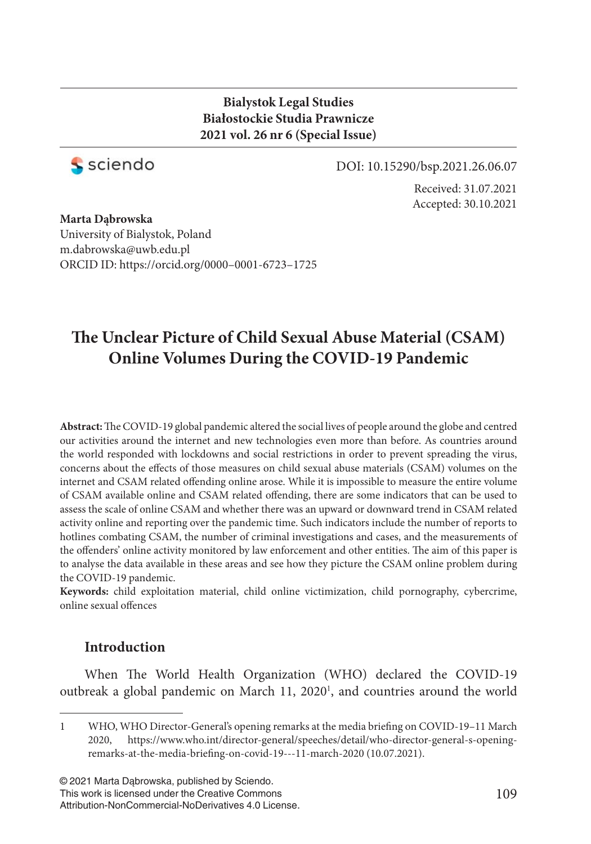#### **Bialystok Legal Studies Białostockie Studia Prawnicze 2021 vol. 26 nr 6 (Special Issue)**



DOI: 10.15290/bsp.2021.26.06.07

Received: 31.07.2021 Accepted: 30.10.2021

**Marta Dąbrowska**  University of Bialystok, Poland m.dabrowska@uwb.edu.pl ORCID ID: https://orcid.org/0000–0001-6723–1725

# **The Unclear Picture of Child Sexual Abuse Material (CSAM) Online Volumes During the COVID-19 Pandemic**

Abstract: The COVID-19 global pandemic altered the social lives of people around the globe and centred our activities around the internet and new technologies even more than before. As countries around the world responded with lockdowns and social restrictions in order to prevent spreading the virus, concerns about the effects of those measures on child sexual abuse materials (CSAM) volumes on the internet and CSAM related offending online arose. While it is impossible to measure the entire volume of CSAM available online and CSAM related offending, there are some indicators that can be used to assess the scale of online CSAM and whether there was an upward or downward trend in CSAM related activity online and reporting over the pandemic time. Such indicators include the number of reports to hotlines combating CSAM, the number of criminal investigations and cases, and the measurements of the offenders' online activity monitored by law enforcement and other entities. The aim of this paper is to analyse the data available in these areas and see how they picture the CSAM online problem during the COVID-19 pandemic.

**Keywords:** child exploitation material, child online victimization, child pornography, cybercrime, online sexual offences

### **Introduction**

When The World Health Organization (WHO) declared the COVID-19 outbreak a global pandemic on March 11, 2020<sup>1</sup>, and countries around the world

© 2021 Marta Dąbrowska, published by Sciendo. This work is licensed under the Creative Commons Attribution-NonCommercial-NoDerivatives 4.0 License.

<sup>1</sup> WHO, WHO Director-General's opening remarks at the media briefing on COVID-19-11 March 2020, https://www.who.int/director-general/speeches/detail/who-director-general-s-openingremarks-at-the-media-briefing-on-covid-19---11-march-2020 (10.07.2021).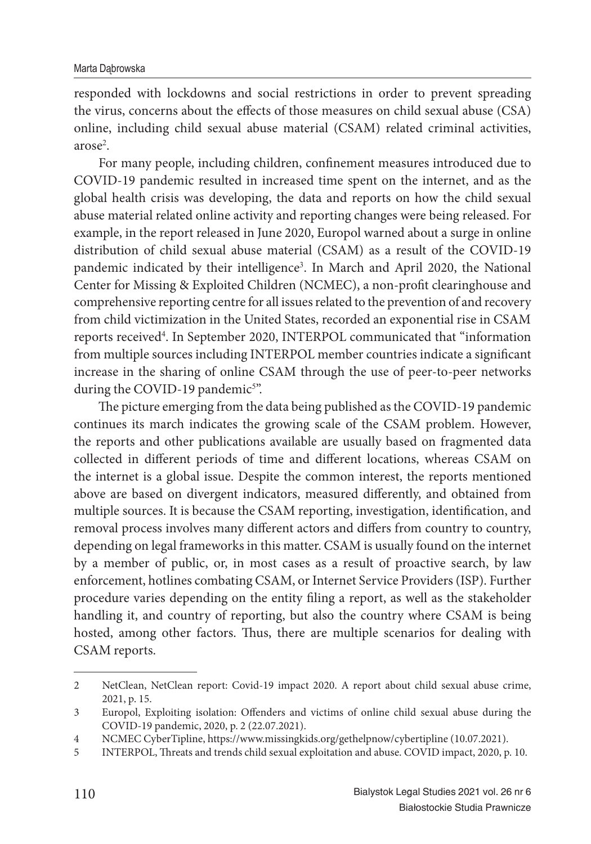responded with lockdowns and social restrictions in order to prevent spreading the virus, concerns about the effects of those measures on child sexual abuse (CSA) online, including child sexual abuse material (CSAM) related criminal activities, arose<sup>2</sup>.

For many people, including children, confinement measures introduced due to COVID-19 pandemic resulted in increased time spent on the internet, and as the global health crisis was developing, the data and reports on how the child sexual abuse material related online activity and reporting changes were being released. For example, in the report released in June 2020, Europol warned about a surge in online distribution of child sexual abuse material (CSAM) as a result of the COVID-19 pandemic indicated by their intelligence<sup>3</sup>. In March and April 2020, the National Center for Missing & Exploited Children (NCMEC), a non-profit clearinghouse and comprehensive reporting centre for all issues related to the prevention of and recovery from child victimization in the United States, recorded an exponential rise in CSAM reports received<sup>4</sup>. In September 2020, INTERPOL communicated that "information from multiple sources including INTERPOL member countries indicate a significant increase in the sharing of online CSAM through the use of peer-to-peer networks during the COVID-19 pandemic<sup>5"</sup>.

The picture emerging from the data being published as the COVID-19 pandemic continues its march indicates the growing scale of the CSAM problem. However, the reports and other publications available are usually based on fragmented data collected in different periods of time and different locations, whereas CSAM on the internet is a global issue. Despite the common interest, the reports mentioned above are based on divergent indicators, measured differently, and obtained from multiple sources. It is because the CSAM reporting, investigation, identification, and removal process involves many different actors and differs from country to country, depending on legal frameworks in this matter. CSAM is usually found on the internet by a member of public, or, in most cases as a result of proactive search, by law enforcement, hotlines combating CSAM, or Internet Service Providers (ISP). Further procedure varies depending on the entity filing a report, as well as the stakeholder handling it, and country of reporting, but also the country where CSAM is being hosted, among other factors. Thus, there are multiple scenarios for dealing with CSAM reports.

<sup>2</sup> NetClean, NetClean report: Covid-19 impact 2020. A report about child sexual abuse crime, 2021, p. 15.

<sup>3</sup> Europol, Exploiting isolation: Offenders and victims of online child sexual abuse during the COVID-19 pandemic, 2020, p. 2 (22.07.2021).

<sup>4</sup> NCMEC CyberTipline, https://www.missingkids.org/gethelpnow/cybertipline (10.07.2021).

<sup>5</sup> INTERPOL, Threats and trends child sexual exploitation and abuse. COVID impact, 2020, p. 10.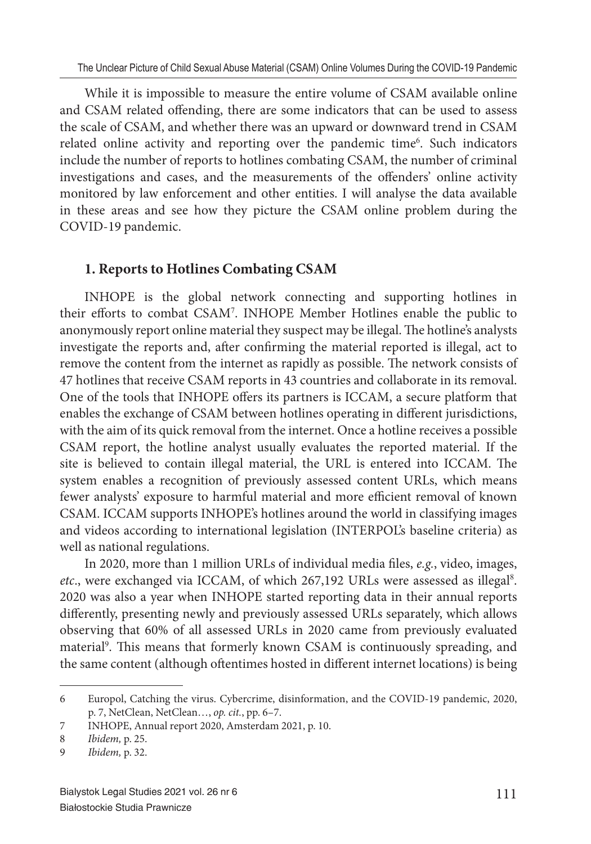While it is impossible to measure the entire volume of CSAM available online and CSAM related offending, there are some indicators that can be used to assess the scale of CSAM, and whether there was an upward or downward trend in CSAM related online activity and reporting over the pandemic time<sup>6</sup>. Such indicators include the number of reports to hotlines combating CSAM, the number of criminal investigations and cases, and the measurements of the offenders' online activity monitored by law enforcement and other entities. I will analyse the data available in these areas and see how they picture the CSAM online problem during the COVID-19 pandemic.

## **1. Reports to Hotlines Combating CSAM**

INHOPE is the global network connecting and supporting hotlines in their efforts to combat CSAM<sup>7</sup>. INHOPE Member Hotlines enable the public to anonymously report online material they suspect may be illegal. The hotline's analysts investigate the reports and, after confirming the material reported is illegal, act to remove the content from the internet as rapidly as possible. The network consists of 47 hotlines that receive CSAM reports in 43 countries and collaborate in its removal. One of the tools that INHOPE offers its partners is ICCAM, a secure platform that enables the exchange of CSAM between hotlines operating in different jurisdictions, with the aim of its quick removal from the internet. Once a hotline receives a possible CSAM report, the hotline analyst usually evaluates the reported material. If the site is believed to contain illegal material, the URL is entered into ICCAM. The system enables a recognition of previously assessed content URLs, which means fewer analysts' exposure to harmful material and more efficient removal of known CSAM. ICCAM supports INHOPE's hotlines around the world in classifying images and videos according to international legislation (INTERPOL's baseline criteria) as well as national regulations.

In 2020, more than 1 million URLs of individual media files, *e.g.*, video, images, etc., were exchanged via ICCAM, of which 267,192 URLs were assessed as illegal<sup>8</sup>. 2020 was also a year when INHOPE started reporting data in their annual reports differently, presenting newly and previously assessed URLs separately, which allows observing that 60% of all assessed URLs in 2020 came from previously evaluated material<sup>9</sup>. This means that formerly known CSAM is continuously spreading, and the same content (although oftentimes hosted in different internet locations) is being

<sup>6</sup> Europol, Catching the virus. Cybercrime, disinformation, and the COVID-19 pandemic, 2020, p. 7, NetClean, NetClean…, *op. cit.*, pp. 6–7.

<sup>7</sup> INHOPE, Annual report 2020, Amsterdam 2021, p. 10.

<sup>8</sup> *Ibidem,* p. 25.

<sup>9</sup> *Ibidem,* p. 32.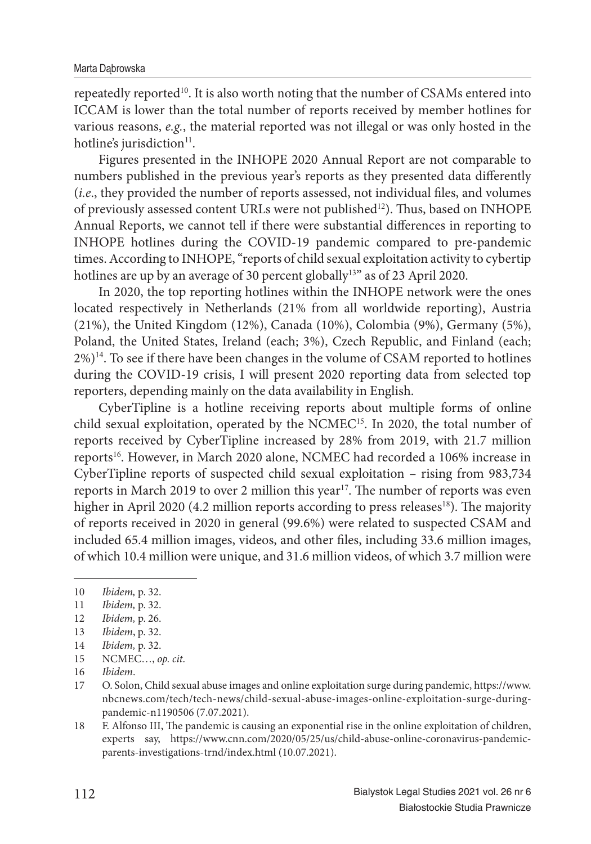repeatedly reported<sup>10</sup>. It is also worth noting that the number of CSAMs entered into ICCAM is lower than the total number of reports received by member hotlines for various reasons, *e.g.*, the material reported was not illegal or was only hosted in the hotline's jurisdiction<sup>11</sup>.

Figures presented in the INHOPE 2020 Annual Report are not comparable to numbers published in the previous year's reports as they presented data differently (*i.e.*, they provided the number of reports assessed, not individual files, and volumes of previously assessed content URLs were not published<sup>12</sup>). Thus, based on INHOPE Annual Reports, we cannot tell if there were substantial differences in reporting to INHOPE hotlines during the COVID-19 pandemic compared to pre-pandemic times. According to INHOPE, "reports of child sexual exploitation activity to cybertip hotlines are up by an average of 30 percent globally<sup>13"</sup> as of 23 April 2020.

In 2020, the top reporting hotlines within the INHOPE network were the ones located respectively in Netherlands (21% from all worldwide reporting), Austria (21%), the United Kingdom (12%), Canada (10%), Colombia (9%), Germany (5%), Poland, the United States, Ireland (each; 3%), Czech Republic, and Finland (each;  $2\%)$ <sup>14</sup>. To see if there have been changes in the volume of CSAM reported to hotlines during the COVID-19 crisis, I will present 2020 reporting data from selected top reporters, depending mainly on the data availability in English.

CyberTipline is a hotline receiving reports about multiple forms of online child sexual exploitation, operated by the NCMEC<sup>15</sup>. In 2020, the total number of reports received by CyberTipline increased by 28% from 2019, with 21.7 million reports<sup>16</sup>. However, in March 2020 alone, NCMEC had recorded a 106% increase in CyberTipline reports of suspected child sexual exploitation – rising from 983,734 reports in March 2019 to over 2 million this year<sup>17</sup>. The number of reports was even higher in April 2020 (4.2 million reports according to press releases<sup>18</sup>). The majority of reports received in 2020 in general (99.6%) were related to suspected CSAM and included 65.4 million images, videos, and other files, including 33.6 million images, of which 10.4 million were unique, and 31.6 million videos, of which 3.7 million were

<sup>10</sup> *Ibidem,* p. 32.

<sup>11</sup> *Ibidem,* p. 32.

<sup>12</sup> *Ibidem,* p. 26.

<sup>13</sup> *Ibidem*, p. 32.

<sup>14</sup> *Ibidem,* p. 32.

<sup>15</sup> NCMEC…, *op. cit*.

<sup>16</sup> *Ibidem*.

<sup>17</sup> O. Solon, Child sexual abuse images and online exploitation surge during pandemic, https://www. nbcnews.com/tech/tech-news/child-sexual-abuse-images-online-exploitation-surge-duringpandemic-n1190506 (7.07.2021).

<sup>18</sup> F. Alfonso III, The pandemic is causing an exponential rise in the online exploitation of children, experts say, https://www.cnn.com/2020/05/25/us/child-abuse-online-coronavirus-pandemicparents-investigations-trnd/index.html (10.07.2021).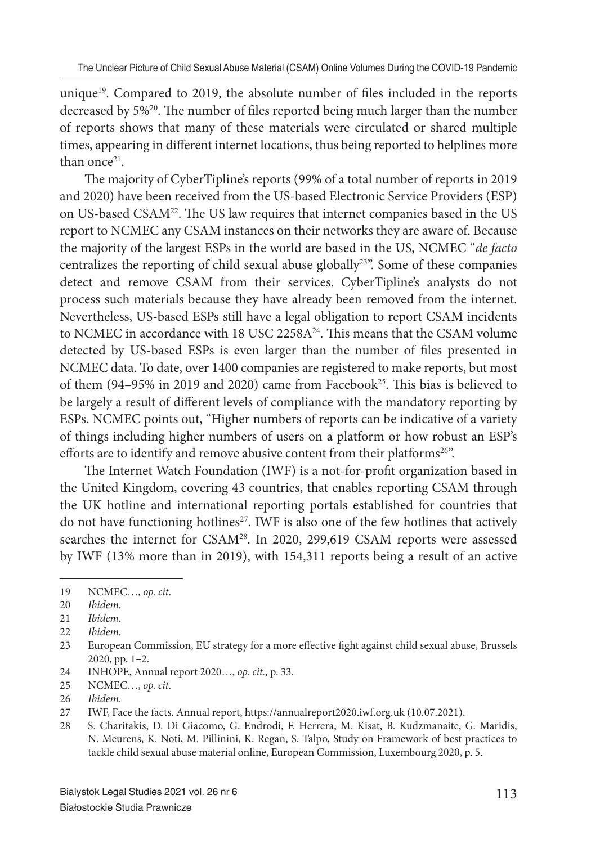unique<sup>19</sup>. Compared to 2019, the absolute number of files included in the reports decreased by 5%<sup>20</sup>. The number of files reported being much larger than the number of reports shows that many of these materials were circulated or shared multiple times, appearing in different internet locations, thus being reported to helplines more than once<sup>21</sup>.

The majority of CyberTipline's reports (99% of a total number of reports in 2019 and 2020) have been received from the US-based Electronic Service Providers (ESP) on US-based CSAM<sup>22</sup>. The US law requires that internet companies based in the US report to NCMEC any CSAM instances on their networks they are aware of. Because the majority of the largest ESPs in the world are based in the US, NCMEC "*de facto* centralizes the reporting of child sexual abuse globally<sup>23</sup>". Some of these companies detect and remove CSAM from their services. CyberTipline's analysts do not process such materials because they have already been removed from the internet. Nevertheless, US-based ESPs still have a legal obligation to report CSAM incidents to NCMEC in accordance with 18 USC 2258 $A^{24}$ . This means that the CSAM volume detected by US-based ESPs is even larger than the number of files presented in NCMEC data. To date, over 1400 companies are registered to make reports, but most of them (94–95% in 2019 and 2020) came from Facebook<sup>25</sup>. This bias is believed to be largely a result of different levels of compliance with the mandatory reporting by ESPs. NCMEC points out, "Higher numbers of reports can be indicative of a variety of things including higher numbers of users on a platform or how robust an ESP's efforts are to identify and remove abusive content from their platforms<sup>26"</sup>.

The Internet Watch Foundation (IWF) is a not-for-profit organization based in the United Kingdom, covering 43 countries, that enables reporting CSAM through the UK hotline and international reporting portals established for countries that do not have functioning hotlines<sup>27</sup>. IWF is also one of the few hotlines that actively searches the internet for CSAM<sup>28</sup>. In 2020, 299,619 CSAM reports were assessed by IWF (13% more than in 2019), with 154,311 reports being a result of an active

<sup>19</sup> NCMEC…, *op. cit*.

<sup>20</sup> *Ibidem.*

<sup>21</sup> *Ibidem.*

<sup>22</sup> *Ibidem.*

<sup>23</sup> European Commission, EU strategy for a more effective fight against child sexual abuse, Brussels 2020, pp. 1–2.

<sup>24</sup> INHOPE, Annual report 2020…, *op. cit.,* p. 33.

<sup>25</sup> NCMEC…, *op. cit*.

<sup>26</sup> *Ibidem.*

<sup>27</sup> IWF, Face the facts. Annual report, https://annualreport2020.iwf.org.uk (10.07.2021).

<sup>28</sup> S. Charitakis, D. Di Giacomo, G. Endrodi, F. Herrera, M. Kisat, B. Kudzmanaite, G. Maridis, N. Meurens, K. Noti, M. Pillinini, K. Regan, S. Talpo, Study on Framework of best practices to tackle child sexual abuse material online, European Commission, Luxembourg 2020, p. 5.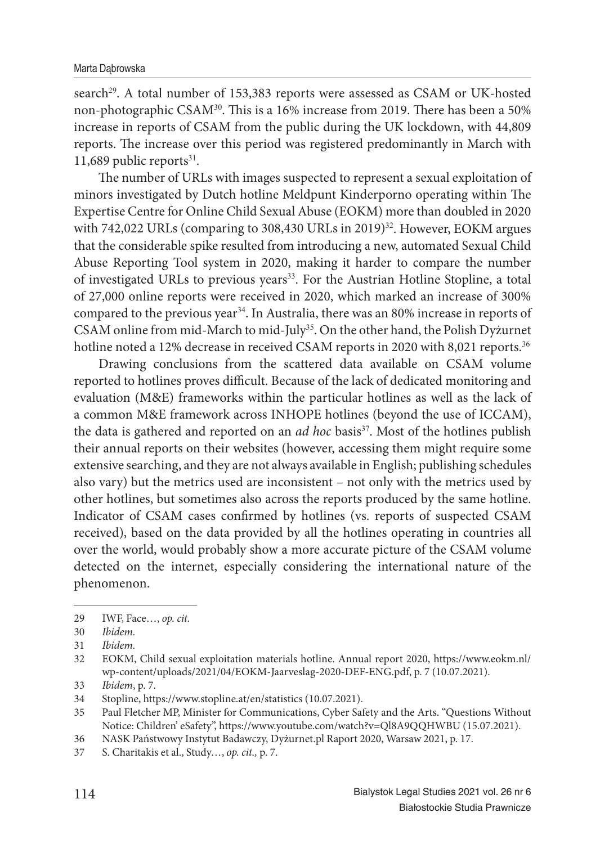search<sup>29</sup>. A total number of 153,383 reports were assessed as CSAM or UK-hosted non-photographic CSAM<sup>30</sup>. This is a 16% increase from 2019. There has been a 50% increase in reports of CSAM from the public during the UK lockdown, with 44,809 reports. The increase over this period was registered predominantly in March with 11,689 public reports $31$ .

The number of URLs with images suspected to represent a sexual exploitation of minors investigated by Dutch hotline Meldpunt Kinderporno operating within The Expertise Centre for Online Child Sexual Abuse (EOKM) more than doubled in 2020 with 742,022 URLs (comparing to 308,430 URLs in 2019)<sup>32</sup>. However, EOKM argues that the considerable spike resulted from introducing a new, automated Sexual Child Abuse Reporting Tool system in 2020, making it harder to compare the number of investigated URLs to previous years<sup>33</sup>. For the Austrian Hotline Stopline, a total of 27,000 online reports were received in 2020, which marked an increase of 300% compared to the previous year<sup>34</sup>. In Australia, there was an 80% increase in reports of CSAM online from mid-March to mid-July<sup>35</sup>. On the other hand, the Polish Dyżurnet hotline noted a 12% decrease in received CSAM reports in 2020 with 8,021 reports.<sup>36</sup>

Drawing conclusions from the scattered data available on CSAM volume reported to hotlines proves difficult. Because of the lack of dedicated monitoring and evaluation (M&E) frameworks within the particular hotlines as well as the lack of a common M&E framework across INHOPE hotlines (beyond the use of ICCAM), the data is gathered and reported on an *ad hoc* basis<sup>37</sup>. Most of the hotlines publish their annual reports on their websites (however, accessing them might require some extensive searching, and they are not always available in English; publishing schedules also vary) but the metrics used are inconsistent – not only with the metrics used by other hotlines, but sometimes also across the reports produced by the same hotline. Indicator of CSAM cases confirmed by hotlines (vs. reports of suspected CSAM received), based on the data provided by all the hotlines operating in countries all over the world, would probably show a more accurate picture of the CSAM volume detected on the internet, especially considering the international nature of the phenomenon.

<sup>29</sup> IWF, Face…, *op. cit.*

<sup>30</sup> *Ibidem.*

<sup>31</sup> *Ibidem.*

<sup>32</sup> EOKM, Child sexual exploitation materials hotline. Annual report 2020, https://www.eokm.nl/ wp-content/uploads/2021/04/EOKM-Jaarveslag-2020-DEF-ENG.pdf, p. 7 (10.07.2021).

<sup>33</sup> *Ibidem*, p. 7.

<sup>34</sup> Stopline, https://www.stopline.at/en/statistics (10.07.2021).

<sup>35</sup> Paul Fletcher MP, Minister for Communications, Cyber Safety and the Arts. "Questions Without Notice: Children' eSafety", https://www.youtube.com/watch?v=Ql8A9QQHWBU (15.07.2021).

<sup>36</sup> NASK Państwowy Instytut Badawczy, Dyżurnet.pl Raport 2020, Warsaw 2021, p. 17.

<sup>37</sup> S. Charitakis et al., Study…, *op. cit.,* p. 7.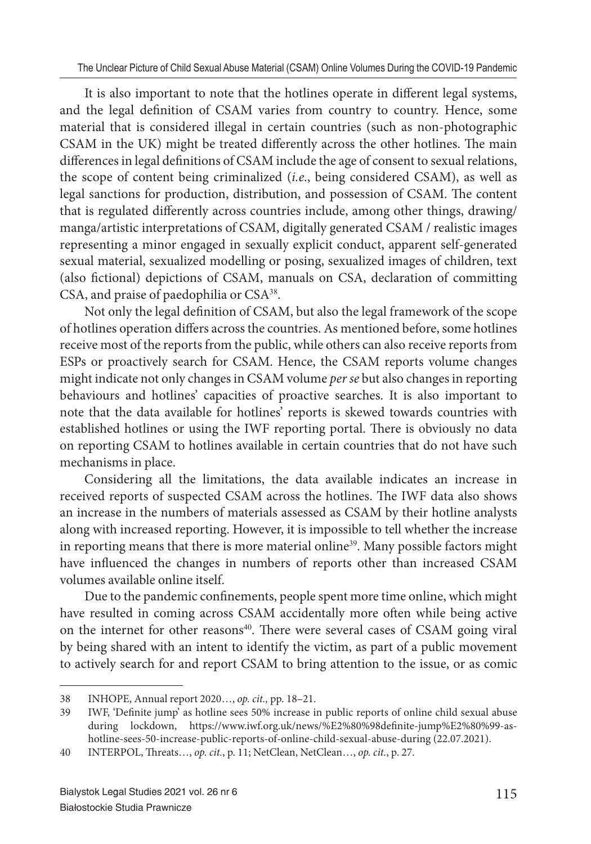It is also important to note that the hotlines operate in different legal systems, and the legal definition of CSAM varies from country to country. Hence, some material that is considered illegal in certain countries (such as non-photographic CSAM in the UK) might be treated differently across the other hotlines. The main differences in legal definitions of CSAM include the age of consent to sexual relations, the scope of content being criminalized (*i.e*., being considered CSAM), as well as legal sanctions for production, distribution, and possession of CSAM. The content that is regulated differently across countries include, among other things, drawing/ manga/artistic interpretations of CSAM, digitally generated CSAM / realistic images representing a minor engaged in sexually explicit conduct, apparent self-generated sexual material, sexualized modelling or posing, sexualized images of children, text (also fictional) depictions of CSAM, manuals on CSA, declaration of committing CSA, and praise of paedophilia or CSA<sup>38</sup>.

Not only the legal definition of CSAM, but also the legal framework of the scope of hotlines operation differs across the countries. As mentioned before, some hotlines receive most of the reports from the public, while others can also receive reports from ESPs or proactively search for CSAM. Hence, the CSAM reports volume changes might indicate not only changes in CSAM volume *per se* but also changes in reporting behaviours and hotlines' capacities of proactive searches. It is also important to note that the data available for hotlines' reports is skewed towards countries with established hotlines or using the IWF reporting portal. There is obviously no data on reporting CSAM to hotlines available in certain countries that do not have such mechanisms in place.

Considering all the limitations, the data available indicates an increase in received reports of suspected CSAM across the hotlines. The IWF data also shows an increase in the numbers of materials assessed as CSAM by their hotline analysts along with increased reporting. However, it is impossible to tell whether the increase in reporting means that there is more material online<sup>39</sup>. Many possible factors might have influenced the changes in numbers of reports other than increased CSAM volumes available online itself.

Due to the pandemic confinements, people spent more time online, which might have resulted in coming across CSAM accidentally more often while being active on the internet for other reasons<sup>40</sup>. There were several cases of CSAM going viral by being shared with an intent to identify the victim, as part of a public movement to actively search for and report CSAM to bring attention to the issue, or as comic

<sup>38</sup> INHOPE, Annual report 2020…, *op. cit.,* pp. 18–21.

<sup>39</sup> IWF, 'Definite jump' as hotline sees 50% increase in public reports of online child sexual abuse during lockdown, https://www.iwf.org.uk/news/%E2%80%98definite-jump%E2%80%99-ashotline-sees-50-increase-public-reports-of-online-child-sexual-abuse-during (22.07.2021).

<sup>40</sup> INTERPOL, Th reats…, *op. cit.*, p. 11; NetClean, NetClean…, *op. cit.*, p. 27.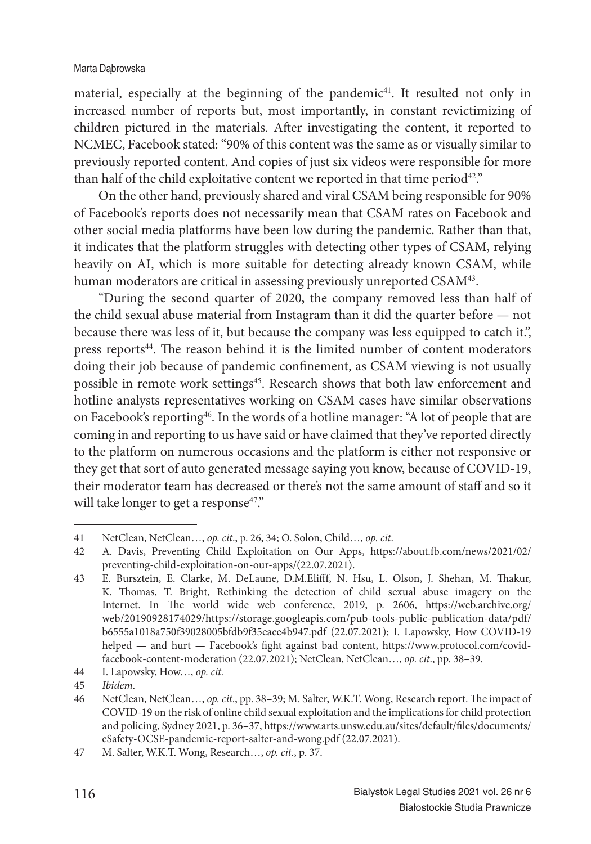material, especially at the beginning of the pandemic<sup>41</sup>. It resulted not only in increased number of reports but, most importantly, in constant revictimizing of children pictured in the materials. After investigating the content, it reported to NCMEC, Facebook stated: "90% of this content was the same as or visually similar to previously reported content. And copies of just six videos were responsible for more than half of the child exploitative content we reported in that time period<sup>42</sup>."

On the other hand, previously shared and viral CSAM being responsible for 90% of Facebook's reports does not necessarily mean that CSAM rates on Facebook and other social media platforms have been low during the pandemic. Rather than that, it indicates that the platform struggles with detecting other types of CSAM, relying heavily on AI, which is more suitable for detecting already known CSAM, while human moderators are critical in assessing previously unreported CSAM<sup>43</sup>.

"During the second quarter of 2020, the company removed less than half of the child sexual abuse material from Instagram than it did the quarter before — not because there was less of it, but because the company was less equipped to catch it.", press reports<sup>44</sup>. The reason behind it is the limited number of content moderators doing their job because of pandemic confinement, as CSAM viewing is not usually possible in remote work settings<sup>45</sup>. Research shows that both law enforcement and hotline analysts representatives working on CSAM cases have similar observations on Facebook's reporting<sup>46</sup>. In the words of a hotline manager: "A lot of people that are coming in and reporting to us have said or have claimed that they've reported directly to the platform on numerous occasions and the platform is either not responsive or they get that sort of auto generated message saying you know, because of COVID-19, their moderator team has decreased or there's not the same amount of staff and so it will take longer to get a response<sup>47</sup>."

<sup>41</sup> NetClean, NetClean…, *op. cit*., p. 26, 34; O. Solon, Child…, *op. cit*.

<sup>42</sup> A. Davis, Preventing Child Exploitation on Our Apps, https://about.fb .com/news/2021/02/ preventing-child-exploitation-on-our-apps/(22.07.2021).

<sup>43</sup> E. Bursztein, E. Clarke, M. DeLaune, D.M.Elifff, N. Hsu, L. Olson, J. Shehan, M. Thakur, K. Thomas, T. Bright, Rethinking the detection of child sexual abuse imagery on the Internet. In The world wide web conference, 2019, p. 2606, https://web.archive.org/ web/20190928174029/https://storage.googleapis.com/pub-tools-public-publication-data/pdf/ b6555a1018a750f39028005bfdb9f35eaee4b947.pdf (22.07.2021); I. Lapowsky, How COVID-19 helped — and hurt — Facebook's fight against bad content, https://www.protocol.com/covidfacebook-content-moderation (22.07.2021); NetClean, NetClean…, *op. cit*., pp. 38–39.

<sup>44</sup> I. Lapowsky, How…, *op. cit.*

<sup>45</sup> *Ibidem.*

<sup>46</sup> NetClean, NetClean..., *op. cit.*, pp. 38-39; M. Salter, W.K.T. Wong, Research report. The impact of COVID-19 on the risk of online child sexual exploitation and the implications for child protection and policing, Sydney 2021, p. 36-37, https://www.arts.unsw.edu.au/sites/default/files/documents/ eSafety-OCSE-pandemic-report-salter-and-wong.pdf (22.07.2021).

<sup>47</sup> M. Salter, W.K.T. Wong, Research…, *op. cit.*, p. 37.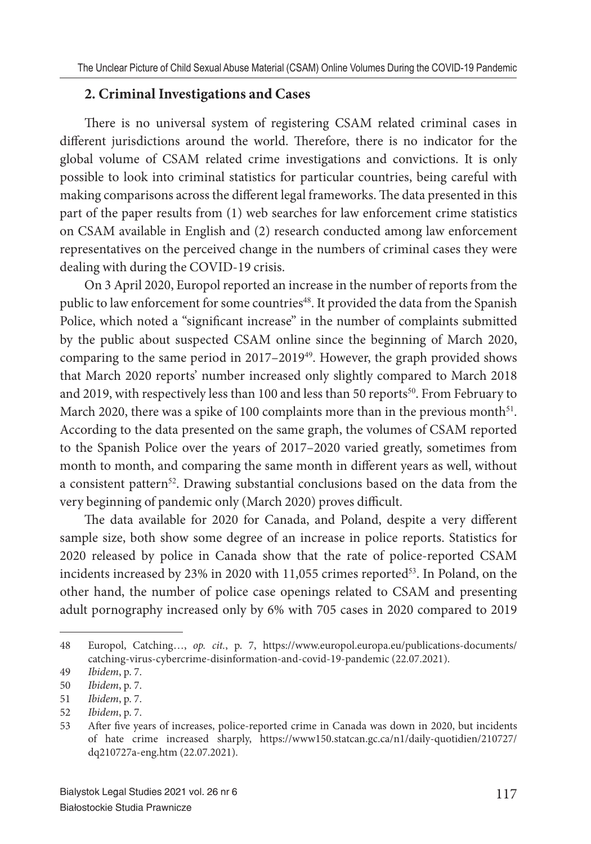#### **2. Criminal Investigations and Cases**

There is no universal system of registering CSAM related criminal cases in different jurisdictions around the world. Therefore, there is no indicator for the global volume of CSAM related crime investigations and convictions. It is only possible to look into criminal statistics for particular countries, being careful with making comparisons across the different legal frameworks. The data presented in this part of the paper results from (1) web searches for law enforcement crime statistics on CSAM available in English and (2) research conducted among law enforcement representatives on the perceived change in the numbers of criminal cases they were dealing with during the COVID-19 crisis.

On 3 April 2020, Europol reported an increase in the number of reports from the public to law enforcement for some countries<sup>48</sup>. It provided the data from the Spanish Police, which noted a "significant increase" in the number of complaints submitted by the public about suspected CSAM online since the beginning of March 2020, comparing to the same period in 2017–2019<sup>49</sup>. However, the graph provided shows that March 2020 reports' number increased only slightly compared to March 2018 and 2019, with respectively less than 100 and less than 50 reports $50$ . From February to March 2020, there was a spike of 100 complaints more than in the previous month<sup>51</sup>. According to the data presented on the same graph, the volumes of CSAM reported to the Spanish Police over the years of 2017–2020 varied greatly, sometimes from month to month, and comparing the same month in different years as well, without a consistent pattern<sup>52</sup>. Drawing substantial conclusions based on the data from the very beginning of pandemic only (March 2020) proves difficult.

The data available for 2020 for Canada, and Poland, despite a very different sample size, both show some degree of an increase in police reports. Statistics for 2020 released by police in Canada show that the rate of police-reported CSAM incidents increased by 23% in 2020 with  $11,055$  crimes reported<sup>53</sup>. In Poland, on the other hand, the number of police case openings related to CSAM and presenting adult pornography increased only by 6% with 705 cases in 2020 compared to 2019

<sup>48</sup> Europol, Catching…, *op. cit.*, p. 7, https://www.europol.europa.eu/publications-documents/ catching-virus-cybercrime-disinformation-and-covid-19-pandemic (22.07.2021).

<sup>49</sup> *Ibidem*, p. 7.

<sup>50</sup> *Ibidem*, p. 7.

<sup>51</sup> *Ibidem*, p. 7.

<sup>52</sup> *Ibidem*, p. 7.

<sup>53</sup> After five years of increases, police-reported crime in Canada was down in 2020, but incidents of hate crime increased sharply, https://www150.statcan.gc.ca/n1/daily-quotidien/210727/ dq210727a-eng.htm (22.07.2021).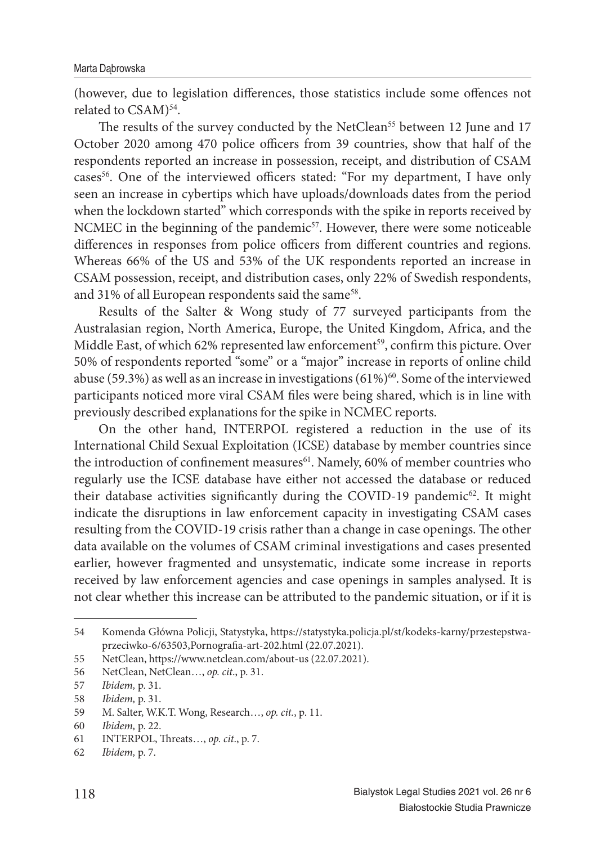(however, due to legislation differences, those statistics include some offences not related to CSAM)<sup>54</sup>.

The results of the survey conducted by the NetClean<sup>55</sup> between 12 June and 17 October 2020 among 470 police officers from 39 countries, show that half of the respondents reported an increase in possession, receipt, and distribution of CSAM cases<sup>56</sup>. One of the interviewed officers stated: "For my department, I have only seen an increase in cybertips which have uploads/downloads dates from the period when the lockdown started" which corresponds with the spike in reports received by NCMEC in the beginning of the pandemic<sup>57</sup>. However, there were some noticeable differences in responses from police officers from different countries and regions. Whereas 66% of the US and 53% of the UK respondents reported an increase in CSAM possession, receipt, and distribution cases, only 22% of Swedish respondents, and 31% of all European respondents said the same<sup>58</sup>.

Results of the Salter & Wong study of 77 surveyed participants from the Australasian region, North America, Europe, the United Kingdom, Africa, and the Middle East, of which 62% represented law enforcement<sup>59</sup>, confirm this picture. Over 50% of respondents reported "some" or a "major" increase in reports of online child abuse (59.3%) as well as an increase in investigations (61%)<sup>60</sup>. Some of the interviewed participants noticed more viral CSAM files were being shared, which is in line with previously described explanations for the spike in NCMEC reports.

On the other hand, INTERPOL registered a reduction in the use of its International Child Sexual Exploitation (ICSE) database by member countries since the introduction of confinement measures<sup>61</sup>. Namely, 60% of member countries who regularly use the ICSE database have either not accessed the database or reduced their database activities significantly during the COVID-19 pandemic<sup>62</sup>. It might indicate the disruptions in law enforcement capacity in investigating CSAM cases resulting from the COVID-19 crisis rather than a change in case openings. The other data available on the volumes of CSAM criminal investigations and cases presented earlier, however fragmented and unsystematic, indicate some increase in reports received by law enforcement agencies and case openings in samples analysed. It is not clear whether this increase can be attributed to the pandemic situation, or if it is

<sup>54</sup> Komenda Główna Policji, Statystyka, https://statystyka.policja.pl/st/kodeks-karny/przestepstwaprzeciwko-6/63503, Pornografia-art-202.html (22.07.2021).

<sup>55</sup> NetClean, https://www.netclean.com/about-us (22.07.2021).

<sup>56</sup> NetClean, NetClean…, *op. cit*., p. 31.

<sup>57</sup> *Ibidem,* p. 31.

<sup>58</sup> *Ibidem,* p. 31.

<sup>59</sup> M. Salter, W.K.T. Wong, Research…, *op. cit.*, p. 11.

<sup>60</sup> *Ibidem,* p. 22.

<sup>61</sup> INTERPOL, Th reats…, *op. cit*., p. 7.

<sup>62</sup> *Ibidem,* p. 7.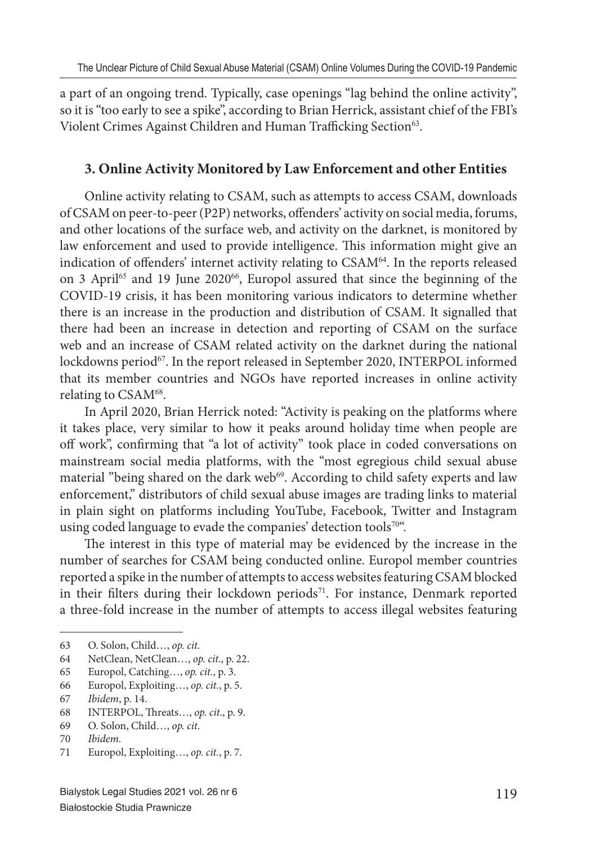a part of an ongoing trend. Typically, case openings "lag behind the online activity", so it is "too early to see a spike", according to Brian Herrick, assistant chief of the FBI's Violent Crimes Against Children and Human Trafficking Section<sup>63</sup>.

#### **3. Online Activity Monitored by Law Enforcement and other Entities**

Online activity relating to CSAM, such as attempts to access CSAM, downloads of CSAM on peer-to-peer (P2P) networks, offenders' activity on social media, forums, and other locations of the surface web, and activity on the darknet, is monitored by law enforcement and used to provide intelligence. This information might give an indication of offenders' internet activity relating to CSAM<sup>64</sup>. In the reports released on 3 April<sup>65</sup> and 19 June 2020<sup>66</sup>, Europol assured that since the beginning of the COVID-19 crisis, it has been monitoring various indicators to determine whether there is an increase in the production and distribution of CSAM. It signalled that there had been an increase in detection and reporting of CSAM on the surface web and an increase of CSAM related activity on the darknet during the national lockdowns period<sup>67</sup>. In the report released in September 2020, INTERPOL informed that its member countries and NGOs have reported increases in online activity relating to CSAM<sup>68</sup>.

In April 2020, Brian Herrick noted: "Activity is peaking on the platforms where it takes place, very similar to how it peaks around holiday time when people are off work", confirming that "a lot of activity" took place in coded conversations on mainstream social media platforms, with the "most egregious child sexual abuse material "being shared on the dark web<sup>69</sup>. According to child safety experts and law enforcement," distributors of child sexual abuse images are trading links to material in plain sight on platforms including YouTube, Facebook, Twitter and Instagram using coded language to evade the companies' detection tools70".

The interest in this type of material may be evidenced by the increase in the number of searches for CSAM being conducted online. Europol member countries reported a spike in the number of attempts to access websites featuring CSAM blocked in their filters during their lockdown periods<sup>71</sup>. For instance, Denmark reported a three-fold increase in the number of attempts to access illegal websites featuring

- 64 NetClean, NetClean…, *op. cit*., p. 22.
- 65 Europol, Catching…, *op. cit.*, p. 3.
- 66 Europol, Exploiting…, *op. cit.*, p. 5.
- 67 *Ibidem*, p. 14.
- 68 INTERPOL, Th reats…, *op. cit*., p. 9.
- 69 O. Solon, Child…, *op. cit*.
- 70 *Ibidem.*
- 71 Europol, Exploiting…, *op. cit.*, p. 7.

<sup>63</sup> O. Solon, Child…, *op. cit.*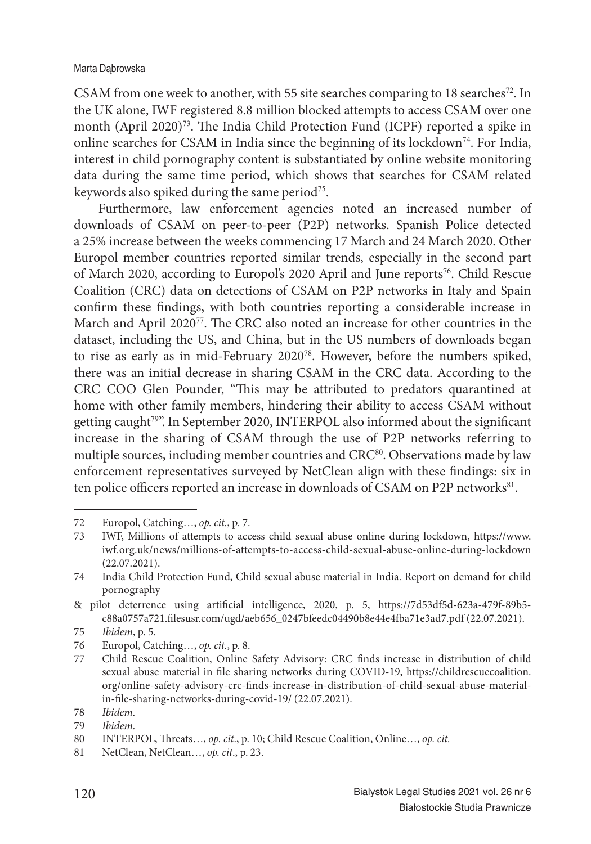CSAM from one week to another, with 55 site searches comparing to 18 searches<sup>72</sup>. In the UK alone, IWF registered 8.8 million blocked attempts to access CSAM over one month (April 2020)<sup>73</sup>. The India Child Protection Fund (ICPF) reported a spike in online searches for CSAM in India since the beginning of its lockdown<sup>74</sup>. For India, interest in child pornography content is substantiated by online website monitoring data during the same time period, which shows that searches for CSAM related keywords also spiked during the same period<sup>75</sup>.

Furthermore, law enforcement agencies noted an increased number of downloads of CSAM on peer-to-peer (P2P) networks. Spanish Police detected a 25% increase between the weeks commencing 17 March and 24 March 2020. Other Europol member countries reported similar trends, especially in the second part of March 2020, according to Europol's 2020 April and June reports<sup>76</sup>. Child Rescue Coalition (CRC) data on detections of CSAM on P2P networks in Italy and Spain confirm these findings, with both countries reporting a considerable increase in March and April  $2020^{77}$ . The CRC also noted an increase for other countries in the dataset, including the US, and China, but in the US numbers of downloads began to rise as early as in mid-February 2020<sup>78</sup>. However, before the numbers spiked, there was an initial decrease in sharing CSAM in the CRC data. According to the CRC COO Glen Pounder, "This may be attributed to predators quarantined at home with other family members, hindering their ability to access CSAM without getting caught<sup>79</sup>". In September 2020, INTERPOL also informed about the significant increase in the sharing of CSAM through the use of P2P networks referring to multiple sources, including member countries and CRC<sup>80</sup>. Observations made by law enforcement representatives surveyed by NetClean align with these findings: six in ten police officers reported an increase in downloads of CSAM on P2P networks<sup>81</sup>.

<sup>72</sup> Europol, Catching…, *op. cit.*, p. 7.

<sup>73</sup> IWF, Millions of attempts to access child sexual abuse online during lockdown, https://www. iwf.org.uk/news/millions-of-attempts-to-access-child-sexual-abuse-online-during-lockdown (22.07.2021).

<sup>74</sup> India Child Protection Fund, Child sexual abuse material in India. Report on demand for child pornography

<sup>&</sup>amp; pilot deterrence using artificial intelligence, 2020, p. 5, https://7d53df5d-623a-479f-89b5c88a0757a721.filesusr.com/ugd/aeb656\_0247bfeedc04490b8e44e4fba71e3ad7.pdf (22.07.2021).

<sup>75</sup> *Ibidem*, p. 5.

<sup>76</sup> Europol, Catching…, *op. cit.*, p. 8.

<sup>77</sup> Child Rescue Coalition, Online Safety Advisory: CRC finds increase in distribution of child sexual abuse material in file sharing networks during COVID-19, https://childrescuecoalition. org/online-safety-advisory-crc-finds-increase-in-distribution-of-child-sexual-abuse-materialin-file-sharing-networks-during-covid-19/ (22.07.2021).

<sup>78</sup> *Ibidem.*

<sup>79</sup> *Ibidem.*

<sup>80</sup> INTERPOL, Threats..., *op. cit.*, p. 10; Child Rescue Coalition, Online..., *op. cit.* 

<sup>81</sup> NetClean, NetClean…, *op. cit*., p. 23.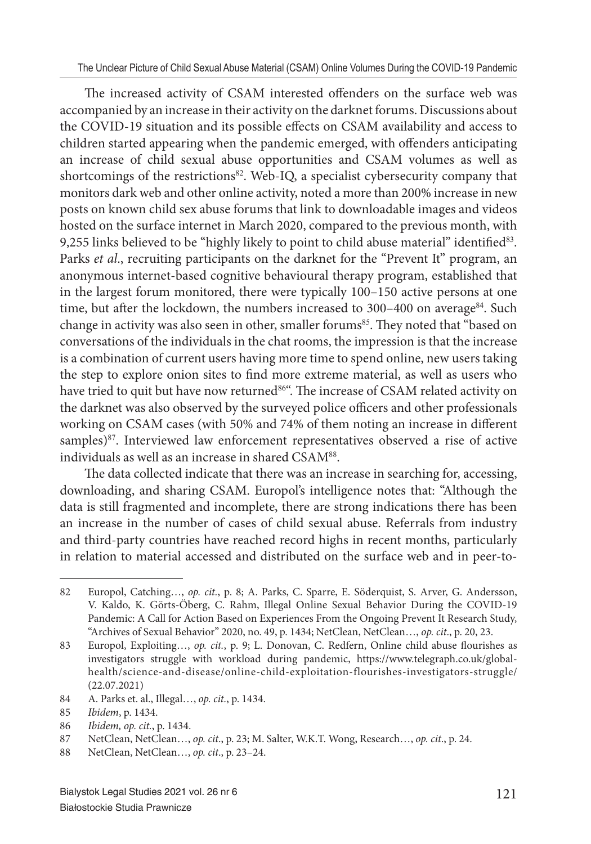The increased activity of CSAM interested offenders on the surface web was accompanied by an increase in their activity on the darknet forums. Discussions about the COVID-19 situation and its possible effects on CSAM availability and access to children started appearing when the pandemic emerged, with offenders anticipating an increase of child sexual abuse opportunities and CSAM volumes as well as shortcomings of the restrictions<sup>82</sup>. Web-IQ, a specialist cybersecurity company that monitors dark web and other online activity, noted a more than 200% increase in new posts on known child sex abuse forums that link to downloadable images and videos hosted on the surface internet in March 2020, compared to the previous month, with 9,255 links believed to be "highly likely to point to child abuse material" identified $83$ . Parks *et al*., recruiting participants on the darknet for the "Prevent It" program, an anonymous internet-based cognitive behavioural therapy program, established that in the largest forum monitored, there were typically 100–150 active persons at one time, but after the lockdown, the numbers increased to 300–400 on average<sup>84</sup>. Such change in activity was also seen in other, smaller forums<sup>85</sup>. They noted that "based on conversations of the individuals in the chat rooms, the impression is that the increase is a combination of current users having more time to spend online, new users taking the step to explore onion sites to find more extreme material, as well as users who have tried to quit but have now returned<sup>86"</sup>. The increase of CSAM related activity on the darknet was also observed by the surveyed police officers and other professionals working on CSAM cases (with 50% and 74% of them noting an increase in different samples)<sup>87</sup>. Interviewed law enforcement representatives observed a rise of active individuals as well as an increase in shared CSAM<sup>88</sup>.

The data collected indicate that there was an increase in searching for, accessing, downloading, and sharing CSAM. Europol's intelligence notes that: "Although the data is still fragmented and incomplete, there are strong indications there has been an increase in the number of cases of child sexual abuse. Referrals from industry and third-party countries have reached record highs in recent months, particularly in relation to material accessed and distributed on the surface web and in peer-to-

<sup>82</sup> Europol, Catching..., *op. cit.*, p. 8; A. Parks, C. Sparre, E. Söderquist, S. Arver, G. Andersson, V. Kaldo, K. Görts-Öberg, C. Rahm, Illegal Online Sexual Behavior During the COVID-19 Pandemic: A Call for Action Based on Experiences From the Ongoing Prevent It Research Study, "Archives of Sexual Behavior" 2020, no. 49, p. 1434; NetClean, NetClean…, *op. cit*., p. 20, 23.

<sup>83</sup> Europol, Exploiting..., *op. cit.*, p. 9; L. Donovan, C. Redfern, Online child abuse flourishes as investigators struggle with workload during pandemic, https://www.telegraph.co.uk/globalhealth/science-and-disease/online-child-exploitation-flourishes-investigators-struggle/ (22.07.2021)

<sup>84</sup> A. Parks et. al., Illegal…, *op. cit.*, p. 1434.

<sup>85</sup> *Ibidem*, p. 1434.

<sup>86</sup> *Ibidem, op. cit.*, p. 1434.

<sup>87</sup> NetClean, NetClean…, *op. cit*., p. 23; M. Salter, W.K.T. Wong, Research…, *op. cit*., p. 24.

<sup>88</sup> NetClean, NetClean…, *op. cit*., p. 23–24.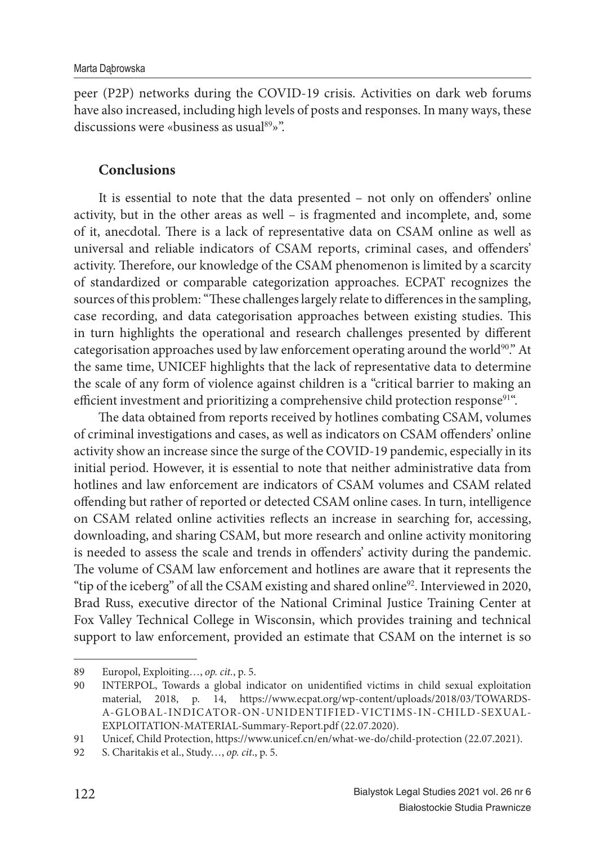peer (P2P) networks during the COVID-19 crisis. Activities on dark web forums have also increased, including high levels of posts and responses. In many ways, these discussions were «business as usual<sup>89</sup>»".

#### **Conclusions**

It is essential to note that the data presented – not only on offenders' online activity, but in the other areas as well – is fragmented and incomplete, and, some of it, anecdotal. There is a lack of representative data on CSAM online as well as universal and reliable indicators of CSAM reports, criminal cases, and offenders' activity. Therefore, our knowledge of the CSAM phenomenon is limited by a scarcity of standardized or comparable categorization approaches. ECPAT recognizes the sources of this problem: "These challenges largely relate to differences in the sampling, case recording, and data categorisation approaches between existing studies. This in turn highlights the operational and research challenges presented by different categorisation approaches used by law enforcement operating around the world $90$ ." At the same time, UNICEF highlights that the lack of representative data to determine the scale of any form of violence against children is a "critical barrier to making an efficient investment and prioritizing a comprehensive child protection response<sup>91"</sup>.

The data obtained from reports received by hotlines combating CSAM, volumes of criminal investigations and cases, as well as indicators on CSAM offenders' online activity show an increase since the surge of the COVID-19 pandemic, especially in its initial period. However, it is essential to note that neither administrative data from hotlines and law enforcement are indicators of CSAM volumes and CSAM related offending but rather of reported or detected CSAM online cases. In turn, intelligence on CSAM related online activities reflects an increase in searching for, accessing, downloading, and sharing CSAM, but more research and online activity monitoring is needed to assess the scale and trends in offenders' activity during the pandemic. The volume of CSAM law enforcement and hotlines are aware that it represents the "tip of the iceberg" of all the CSAM existing and shared online<sup>92</sup>. Interviewed in 2020, Brad Russ, executive director of the National Criminal Justice Training Center at Fox Valley Technical College in Wisconsin, which provides training and technical support to law enforcement, provided an estimate that CSAM on the internet is so

<sup>89</sup> Europol, Exploiting…, *op. cit.*, p. 5.

<sup>90</sup> INTERPOL, Towards a global indicator on unidentified victims in child sexual exploitation material, 2018, p. 14, https://www.ecpat.org/wp-content/uploads/2018/03/TOWARDS-A-GLOBAL-INDICATOR-ON-UNIDENTIFIED-VICTIMS-IN-CHILD-SEXUAL-EXPLOITATION-MATERIAL-Summary-Report.pdf (22.07.2020).

<sup>91</sup> Unicef, Child Protection, https://www.unicef.cn/en/what-we-do/child-protection (22.07.2021).

<sup>92</sup> S. Charitakis et al., Study…, *op. cit*., p. 5.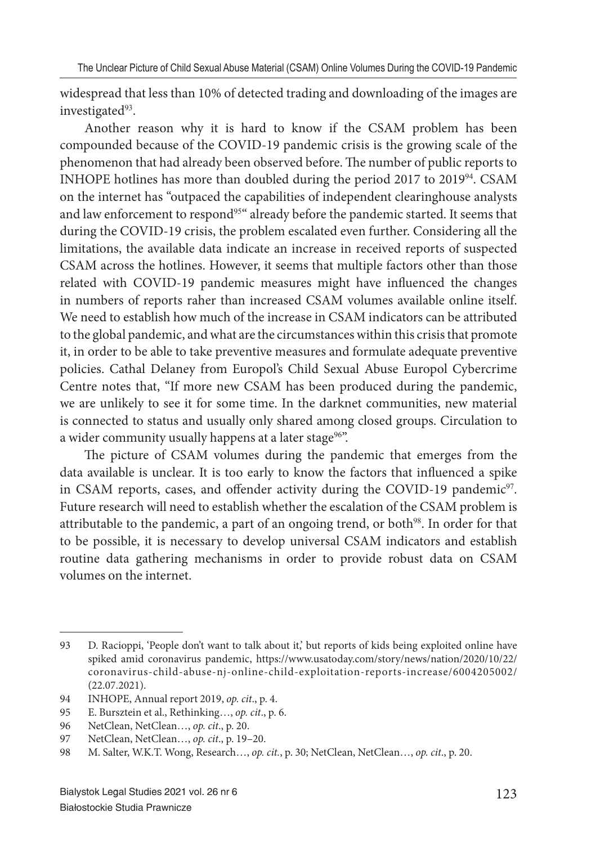widespread that less than 10% of detected trading and downloading of the images are investigated<sup>93</sup>.

Another reason why it is hard to know if the CSAM problem has been compounded because of the COVID-19 pandemic crisis is the growing scale of the phenomenon that had already been observed before. The number of public reports to INHOPE hotlines has more than doubled during the period 2017 to 2019<sup>94</sup>. CSAM on the internet has "outpaced the capabilities of independent clearinghouse analysts and law enforcement to respond<sup>95"</sup> already before the pandemic started. It seems that during the COVID-19 crisis, the problem escalated even further. Considering all the limitations, the available data indicate an increase in received reports of suspected CSAM across the hotlines. However, it seems that multiple factors other than those related with COVID-19 pandemic measures might have influenced the changes in numbers of reports raher than increased CSAM volumes available online itself. We need to establish how much of the increase in CSAM indicators can be attributed to the global pandemic, and what are the circumstances within this crisis that promote it, in order to be able to take preventive measures and formulate adequate preventive policies. Cathal Delaney from Europol's Child Sexual Abuse Europol Cybercrime Centre notes that, "If more new CSAM has been produced during the pandemic, we are unlikely to see it for some time. In the darknet communities, new material is connected to status and usually only shared among closed groups. Circulation to a wider community usually happens at a later stage<sup>96"</sup>.

The picture of CSAM volumes during the pandemic that emerges from the data available is unclear. It is too early to know the factors that influenced a spike in CSAM reports, cases, and offender activity during the COVID-19 pandemic<sup>97</sup>. Future research will need to establish whether the escalation of the CSAM problem is attributable to the pandemic, a part of an ongoing trend, or both<sup>98</sup>. In order for that to be possible, it is necessary to develop universal CSAM indicators and establish routine data gathering mechanisms in order to provide robust data on CSAM volumes on the internet.

<sup>93</sup> D. Racioppi, 'People don't want to talk about it,' but reports of kids being exploited online have spiked amid coronavirus pandemic, https://www.usatoday.com/story/news/nation/2020/10/22/ coronavirus-child-abuse-nj-online-child-exploitation-reports-increase/6004205002/ (22.07.2021).

<sup>94</sup> INHOPE, Annual report 2019, *op. cit*., p. 4.

<sup>95</sup> E. Bursztein et al., Rethinking…, *op. cit*., p. 6.

<sup>96</sup> NetClean, NetClean…, *op. cit*., p. 20.

<sup>97</sup> NetClean, NetClean…, *op. cit*., p. 19–20.

<sup>98</sup> M. Salter, W.K.T. Wong, Research…, *op. cit.*, p. 30; NetClean, NetClean…, *op. cit*., p. 20.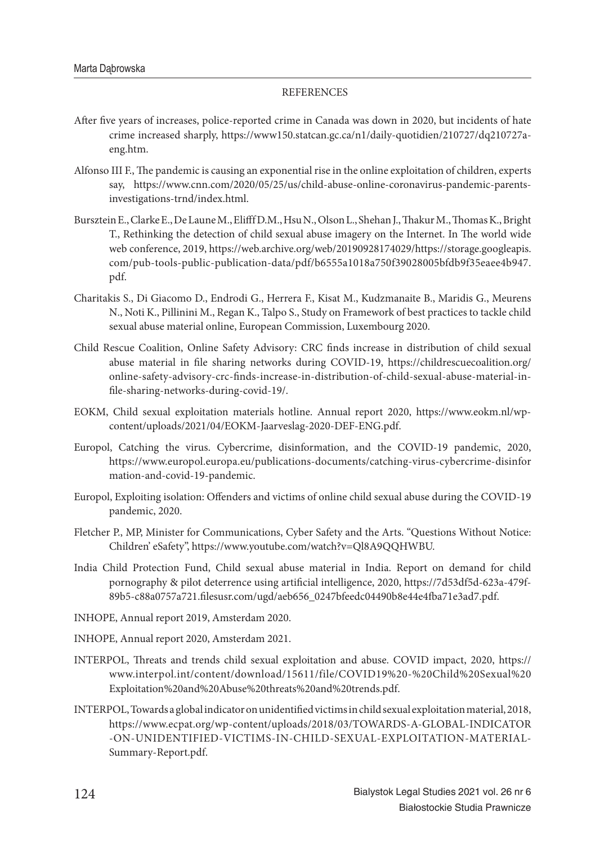#### **REFERENCES**

- After five years of increases, police-reported crime in Canada was down in 2020, but incidents of hate crime increased sharply, https://www150.statcan.gc.ca/n1/daily-quotidien/210727/dq210727aeng.htm.
- Alfonso III F., The pandemic is causing an exponential rise in the online exploitation of children, experts say, https://www.cnn.com/2020/05/25/us/child-abuse-online-coronavirus-pandemic-parentsinvestigations-trnd/index.html.
- Bursztein E., Clarke E., De Laune M., Elifff D.M., Hsu N., Olson L., Shehan J., Thakur M., Thomas K., Bright T., Rethinking the detection of child sexual abuse imagery on the Internet. In The world wide web conference, 2019, https://web.archive.org/web/20190928174029/https://storage.googleapis. com/pub-tools-public-publication-data/pdf/b6555a1018a750f39028005bfdb9f35eaee4b947. pdf.
- Charitakis S., Di Giacomo D., Endrodi G., Herrera F., Kisat M., Kudzmanaite B., Maridis G., Meurens N., Noti K., Pillinini M., Regan K., Talpo S., Study on Framework of best practices to tackle child sexual abuse material online, European Commission, Luxembourg 2020.
- Child Rescue Coalition, Online Safety Advisory: CRC finds increase in distribution of child sexual abuse material in file sharing networks during COVID-19, https://childrescuecoalition.org/ online-safety-advisory-crc-fi nds-increase-in-distribution-of-child-sexual-abuse-material-infile-sharing-networks-during-covid-19/.
- EOKM, Child sexual exploitation materials hotline. Annual report 2020, https://www.eokm.nl/wpcontent/uploads/2021/04/EOKM-Jaarveslag-2020-DEF-ENG.pdf.
- Europol, Catching the virus. Cybercrime, disinformation, and the COVID-19 pandemic, 2020, https://www.europol.europa.eu/publications-documents/catching-virus-cybercrime-disinfor mation-and-covid-19-pandemic.
- Europol, Exploiting isolation: Offenders and victims of online child sexual abuse during the COVID-19 pandemic, 2020.
- Fletcher P., MP, Minister for Communications, Cyber Safety and the Arts. "Questions Without Notice: Children' eSafety", https://www.youtube.com/watch?v=Ql8A9QQHWBU.
- India Child Protection Fund, Child sexual abuse material in India. Report on demand for child pornography & pilot deterrence using artificial intelligence, 2020, https://7d53df5d-623a-479f-89b5-c88a0757a721.filesusr.com/ugd/aeb656\_0247bfeedc04490b8e44e4fba71e3ad7.pdf.
- INHOPE, Annual report 2019, Amsterdam 2020.
- INHOPE, Annual report 2020, Amsterdam 2021.
- INTERPOL, Threats and trends child sexual exploitation and abuse. COVID impact, 2020, https:// www.interpol.int/content/download/15611/file/COVID19%20-%20Child%20Sexual%20 Exploitation%20and%20Abuse%20threats%20and%20trends.pdf.
- INTERPOL, Towards a global indicator on unidentified victims in child sexual exploitation material, 2018, https://www.ecpat.org/wp-content/uploads/2018/03/TOWARDS-A-GLOBAL-INDICATOR -ON-UNIDENTIFIED-VICTIMS-IN-CHILD-SEXUAL-EXPLOITATION-MATERIAL-Summary-Report.pdf.